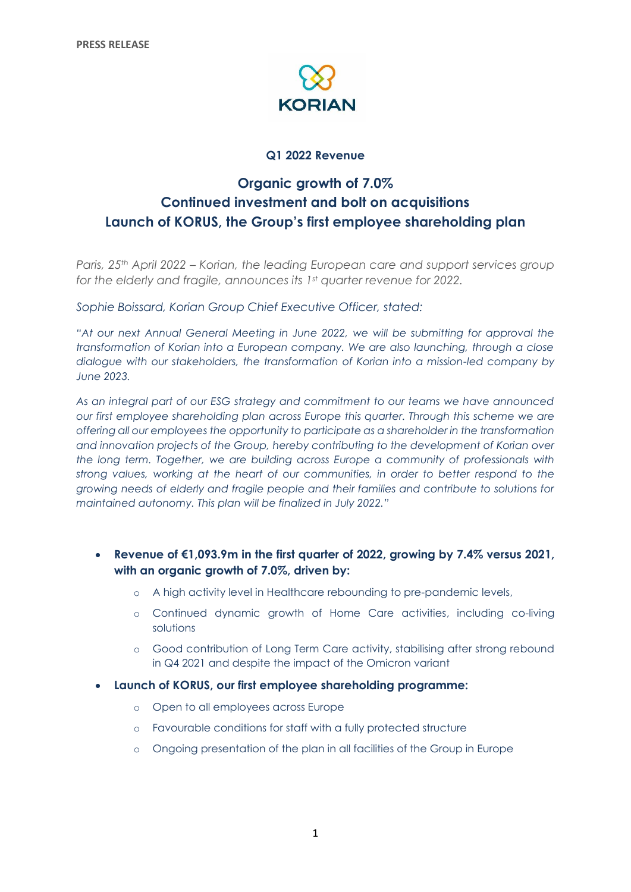

# **Q1 2022 Revenue**

# **Organic growth of 7.0% Continued investment and bolt on acquisitions Launch of KORUS, the Group's first employee shareholding plan**

*Paris, 25th April 2022 – Korian, the leading European care and support services group for the elderly and fragile, announces its 1st quarter revenue for 2022.*

*Sophie Boissard, Korian Group Chief Executive Officer, stated:*

*"At our next Annual General Meeting in June 2022, we will be submitting for approval the transformation of Korian into a European company. We are also launching, through a close dialogue with our stakeholders, the transformation of Korian into a mission-led company by June 2023.*

*As an integral part of our ESG strategy and commitment to our teams we have announced our first employee shareholding plan across Europe this quarter. Through this scheme we are offering all our employees the opportunity to participate as a shareholder in the transformation and innovation projects of the Group, hereby contributing to the development of Korian over the long term. Together, we are building across Europe a community of professionals with strong values, working at the heart of our communities, in order to better respond to the growing needs of elderly and fragile people and their families and contribute to solutions for maintained autonomy. This plan will be finalized in July 2022."*

# • **Revenue of €1,093.9m in the first quarter of 2022, growing by 7.4% versus 2021, with an organic growth of 7.0%, driven by:**

- o A high activity level in Healthcare rebounding to pre-pandemic levels,
- o Continued dynamic growth of Home Care activities, including co-living solutions
- o Good contribution of Long Term Care activity, stabilising after strong rebound in Q4 2021 and despite the impact of the Omicron variant
- **Launch of KORUS, our first employee shareholding programme:**
	- o Open to all employees across Europe
	- o Favourable conditions for staff with a fully protected structure
	- o Ongoing presentation of the plan in all facilities of the Group in Europe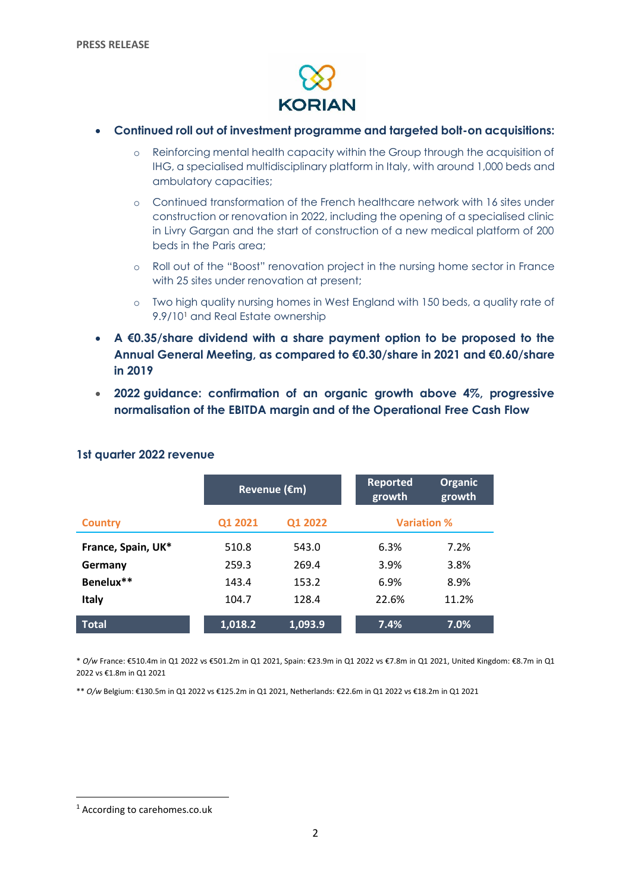

- **Continued roll out of investment programme and targeted bolt-on acquisitions:**
	- o Reinforcing mental health capacity within the Group through the acquisition of IHG, a specialised multidisciplinary platform in Italy, with around 1,000 beds and ambulatory capacities;
	- o Continued transformation of the French healthcare network with 16 sites under construction or renovation in 2022, including the opening of a specialised clinic in Livry Gargan and the start of construction of a new medical platform of 200 beds in the Paris area;
	- o Roll out of the "Boost" renovation project in the nursing home sector in France with 25 sites under renovation at present;
	- o Two high quality nursing homes in West England with 150 beds, a quality rate of 9.9/10<sup>1</sup> and Real Estate ownership
- **A €0.35/share dividend with a share payment option to be proposed to the Annual General Meeting, as compared to €0.30/share in 2021 and €0.60/share in 2019**
- **2022 guidance: confirmation of an organic growth above 4%, progressive normalisation of the EBITDA margin and of the Operational Free Cash Flow**

|                    | Revenue (€m) |         | <b>Reported</b><br>growth | <b>Organic</b><br>growth |  |
|--------------------|--------------|---------|---------------------------|--------------------------|--|
| <b>Country</b>     | Q1 2021      | Q1 2022 |                           | <b>Variation %</b>       |  |
| France, Spain, UK* | 510.8        | 543.0   | 6.3%                      | 7.2%                     |  |
| Germany            | 259.3        | 269.4   | 3.9%                      | 3.8%                     |  |
| Benelux**          | 143.4        | 153.2   | 6.9%                      | 8.9%                     |  |
| <b>Italy</b>       | 104.7        | 128.4   | 22.6%                     | 11.2%                    |  |
| <b>Total</b>       | 1,018.2      | 1,093.9 | 7.4%                      | 7.0%                     |  |

## **1st quarter 2022 revenue**

\* *O/w* France: €510.4m in Q1 2022 vs €501.2m in Q1 2021, Spain: €23.9m in Q1 2022 vs €7.8m in Q1 2021, United Kingdom: €8.7m in Q1 2022 vs €1.8m in Q1 2021

\*\* *O/w* Belgium: €130.5m in Q1 2022 vs €125.2m in Q1 2021, Netherlands: €22.6m in Q1 2022 vs €18.2m in Q1 2021

**.** 

<sup>1</sup> According to carehomes.co.uk